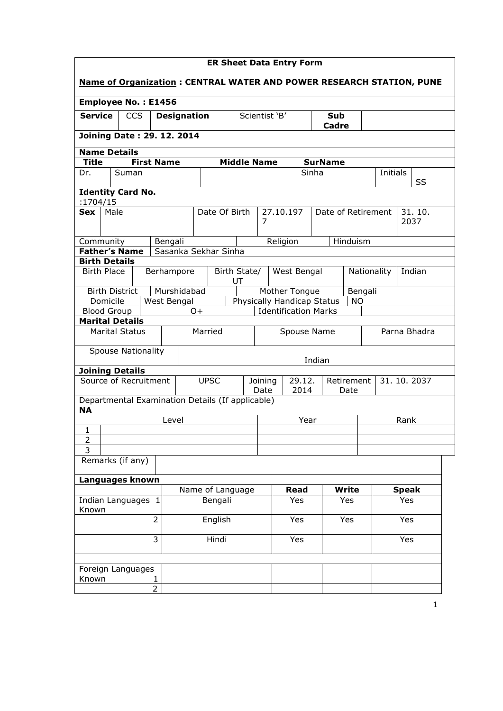| <b>ER Sheet Data Entry Form</b>                                             |                                |            |                   |                      |                                                                        |                    |                                                         |   |                                 |               |                |             |              |          |              |        |  |
|-----------------------------------------------------------------------------|--------------------------------|------------|-------------------|----------------------|------------------------------------------------------------------------|--------------------|---------------------------------------------------------|---|---------------------------------|---------------|----------------|-------------|--------------|----------|--------------|--------|--|
| <b>Name of Organization: CENTRAL WATER AND POWER RESEARCH STATION, PUNE</b> |                                |            |                   |                      |                                                                        |                    |                                                         |   |                                 |               |                |             |              |          |              |        |  |
| <b>Employee No.: E1456</b>                                                  |                                |            |                   |                      |                                                                        |                    |                                                         |   |                                 |               |                |             |              |          |              |        |  |
| <b>Service</b>                                                              |                                | <b>CCS</b> |                   | <b>Designation</b>   |                                                                        |                    |                                                         |   | Scientist 'B'<br>Sub<br>Cadre   |               |                |             |              |          |              |        |  |
| Joining Date: 29. 12. 2014                                                  |                                |            |                   |                      |                                                                        |                    |                                                         |   |                                 |               |                |             |              |          |              |        |  |
| <b>Name Details</b>                                                         |                                |            |                   |                      |                                                                        |                    |                                                         |   |                                 |               |                |             |              |          |              |        |  |
| <b>Title</b>                                                                |                                |            | <b>First Name</b> |                      |                                                                        | <b>Middle Name</b> |                                                         |   |                                 |               | <b>SurName</b> |             |              |          |              |        |  |
| Dr.                                                                         | Suman                          |            |                   |                      |                                                                        |                    |                                                         |   |                                 |               | Sinha          |             |              | Initials |              | SS     |  |
| <b>Identity Card No.</b>                                                    |                                |            |                   |                      |                                                                        |                    |                                                         |   |                                 |               |                |             |              |          |              |        |  |
| :1704/15<br>Sex                                                             | Male                           |            |                   |                      |                                                                        | Date Of Birth      |                                                         |   |                                 |               |                |             |              |          |              | 31.10. |  |
|                                                                             |                                |            |                   |                      |                                                                        |                    |                                                         | 7 | 27.10.197<br>Date of Retirement |               |                |             |              | 2037     |              |        |  |
| Community                                                                   |                                |            | Bengali           |                      |                                                                        |                    |                                                         |   |                                 | Religion      |                | Hinduism    |              |          |              |        |  |
| <b>Father's Name</b>                                                        |                                |            |                   | Sasanka Sekhar Sinha |                                                                        |                    |                                                         |   |                                 |               |                |             |              |          |              |        |  |
|                                                                             | <b>Birth Details</b>           |            |                   |                      |                                                                        |                    |                                                         |   |                                 |               |                |             |              |          |              |        |  |
| <b>Birth Place</b><br>Berhampore                                            |                                |            |                   |                      | Birth State/<br>UT                                                     |                    |                                                         |   | West Bengal                     |               |                | Nationality |              |          | Indian       |        |  |
|                                                                             | <b>Birth District</b>          |            |                   | Murshidabad          |                                                                        |                    |                                                         |   |                                 | Mother Tongue |                |             | Bengali      |          |              |        |  |
|                                                                             | Domicile<br><b>Blood Group</b> |            | West Bengal       | 0+                   | Physically Handicap Status<br><b>NO</b><br><b>Identification Marks</b> |                    |                                                         |   |                                 |               |                |             |              |          |              |        |  |
| <b>Marital Details</b>                                                      |                                |            |                   |                      |                                                                        |                    |                                                         |   |                                 |               |                |             |              |          |              |        |  |
|                                                                             | <b>Marital Status</b>          |            |                   |                      | Married                                                                |                    | Spouse Name                                             |   |                                 |               |                |             | Parna Bhadra |          |              |        |  |
|                                                                             | <b>Spouse Nationality</b>      |            |                   |                      |                                                                        |                    |                                                         |   |                                 |               | Indian         |             |              |          |              |        |  |
| <b>Joining Details</b>                                                      |                                |            |                   |                      |                                                                        |                    |                                                         |   |                                 |               |                |             |              |          |              |        |  |
| Source of Recruitment                                                       |                                |            |                   |                      | <b>UPSC</b>                                                            |                    | 29.12.<br>Retirement<br>Joining<br>Date<br>2014<br>Date |   |                                 |               |                |             | 31.10.2037   |          |              |        |  |
| Departmental Examination Details (If applicable)<br><b>NA</b>               |                                |            |                   |                      |                                                                        |                    |                                                         |   |                                 |               |                |             |              |          |              |        |  |
|                                                                             |                                |            | Level             |                      |                                                                        |                    |                                                         |   |                                 | Year          |                |             |              |          | Rank         |        |  |
| $\mathbf{1}$                                                                |                                |            |                   |                      |                                                                        |                    |                                                         |   |                                 |               |                |             |              |          |              |        |  |
| $\overline{2}$<br>$\overline{3}$                                            |                                |            |                   |                      |                                                                        |                    |                                                         |   |                                 |               |                |             |              |          |              |        |  |
|                                                                             | Remarks (if any)               |            |                   |                      |                                                                        |                    |                                                         |   |                                 |               |                |             |              |          |              |        |  |
| Languages known                                                             |                                |            |                   |                      |                                                                        |                    |                                                         |   |                                 |               |                |             |              |          |              |        |  |
|                                                                             |                                |            |                   | Name of Language     |                                                                        |                    |                                                         |   |                                 | <b>Read</b>   |                | Write       |              |          | <b>Speak</b> |        |  |
| Indian Languages 1<br>Known                                                 |                                |            |                   |                      | Bengali                                                                |                    |                                                         |   |                                 | Yes           |                | Yes         |              |          | Yes          |        |  |
| $\overline{2}$                                                              |                                |            |                   | English              |                                                                        |                    |                                                         |   | Yes                             |               | Yes            |             |              | Yes      |              |        |  |
| 3                                                                           |                                |            |                   |                      | Hindi                                                                  |                    |                                                         |   |                                 | Yes           |                |             |              |          | Yes          |        |  |
|                                                                             |                                |            |                   |                      |                                                                        |                    |                                                         |   |                                 |               |                |             |              |          |              |        |  |
| Foreign Languages<br>Known                                                  |                                |            | 1                 |                      |                                                                        |                    |                                                         |   |                                 |               |                |             |              |          |              |        |  |
|                                                                             |                                |            | 2                 |                      |                                                                        |                    |                                                         |   |                                 |               |                |             |              |          |              |        |  |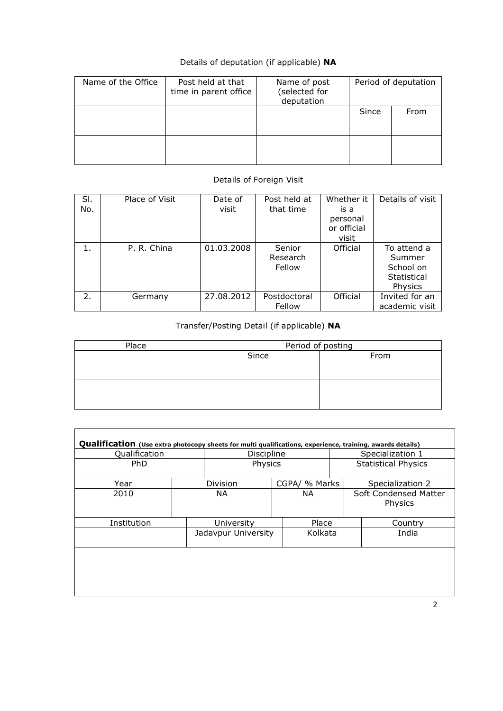# Details of deputation (if applicable) NA

| Name of the Office | Post held at that<br>time in parent office | Name of post<br>(selected for<br>deputation |       | Period of deputation |
|--------------------|--------------------------------------------|---------------------------------------------|-------|----------------------|
|                    |                                            |                                             | Since | From                 |
|                    |                                            |                                             |       |                      |

## Details of Foreign Visit

| SI. | Place of Visit | Date of    | Post held at | Whether it  | Details of visit |
|-----|----------------|------------|--------------|-------------|------------------|
| No. |                | visit      | that time    | is a        |                  |
|     |                |            |              | personal    |                  |
|     |                |            |              | or official |                  |
|     |                |            |              | visit       |                  |
| 1.  | P. R. China    | 01.03.2008 | Senior       | Official    | To attend a      |
|     |                |            | Research     |             | Summer           |
|     |                |            | Fellow       |             | School on        |
|     |                |            |              |             | Statistical      |
|     |                |            |              |             | Physics          |
| 2.  | Germany        | 27.08.2012 | Postdoctoral | Official    | Invited for an   |
|     |                |            | Fellow       |             | academic visit   |

## Transfer/Posting Detail (if applicable) NA

| Place | Period of posting |      |  |  |  |  |  |  |
|-------|-------------------|------|--|--|--|--|--|--|
|       | Since             | From |  |  |  |  |  |  |
|       |                   |      |  |  |  |  |  |  |
|       |                   |      |  |  |  |  |  |  |
|       |                   |      |  |  |  |  |  |  |
|       |                   |      |  |  |  |  |  |  |
|       |                   |      |  |  |  |  |  |  |

| Qualification |     | Discipline          |     |               | Qualification (Use extra photocopy sheets for multi qualifications, experience, training, awards details)<br>Specialization 1 |                  |  |  |
|---------------|-----|---------------------|-----|---------------|-------------------------------------------------------------------------------------------------------------------------------|------------------|--|--|
| <b>PhD</b>    |     | Physics             |     |               | <b>Statistical Physics</b>                                                                                                    |                  |  |  |
| Year          |     | Division            |     | CGPA/ % Marks |                                                                                                                               | Specialization 2 |  |  |
| 2010          | NA. |                     | NA. |               | Soft Condensed Matter<br>Physics                                                                                              |                  |  |  |
| Institution   |     | University          |     | Place         |                                                                                                                               | Country          |  |  |
|               |     | Jadavpur University |     | Kolkata       |                                                                                                                               | India            |  |  |
|               |     |                     |     |               |                                                                                                                               |                  |  |  |
|               |     |                     |     |               |                                                                                                                               |                  |  |  |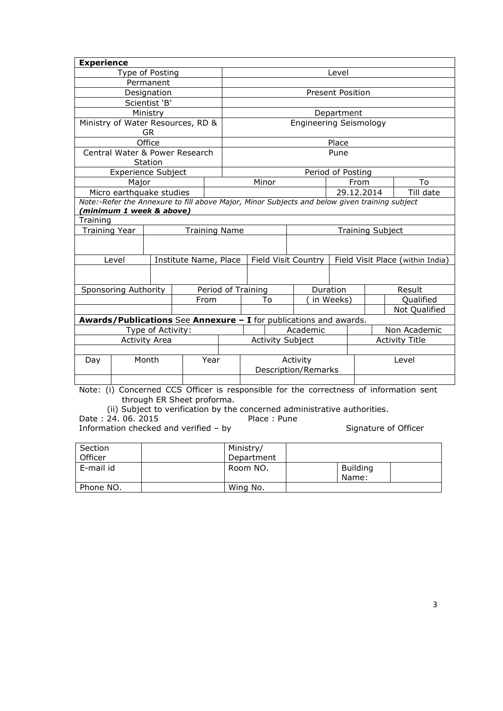| <b>Experience</b>    |                                                                                               |                   |                       |                      |                         |                                                                   |                               |                         |      |  |                                                                                        |  |
|----------------------|-----------------------------------------------------------------------------------------------|-------------------|-----------------------|----------------------|-------------------------|-------------------------------------------------------------------|-------------------------------|-------------------------|------|--|----------------------------------------------------------------------------------------|--|
|                      | Type of Posting                                                                               |                   |                       |                      |                         |                                                                   |                               | Level                   |      |  |                                                                                        |  |
|                      |                                                                                               | Permanent         |                       |                      |                         |                                                                   |                               |                         |      |  |                                                                                        |  |
| Designation          |                                                                                               |                   |                       |                      |                         |                                                                   |                               | <b>Present Position</b> |      |  |                                                                                        |  |
| Scientist 'B'        |                                                                                               |                   |                       |                      |                         |                                                                   |                               |                         |      |  |                                                                                        |  |
|                      |                                                                                               | Ministry          |                       |                      | Department              |                                                                   |                               |                         |      |  |                                                                                        |  |
|                      | Ministry of Water Resources, RD &                                                             |                   |                       |                      |                         |                                                                   | <b>Engineering Seismology</b> |                         |      |  |                                                                                        |  |
|                      |                                                                                               | GR.               |                       |                      |                         |                                                                   |                               |                         |      |  |                                                                                        |  |
|                      |                                                                                               | Office            |                       |                      |                         |                                                                   |                               | Place                   |      |  |                                                                                        |  |
|                      | Central Water & Power Research                                                                |                   |                       |                      |                         |                                                                   |                               | Pune                    |      |  |                                                                                        |  |
|                      |                                                                                               | Station           |                       |                      |                         |                                                                   |                               |                         |      |  |                                                                                        |  |
|                      | <b>Experience Subject</b>                                                                     |                   |                       |                      |                         |                                                                   |                               | Period of Posting       |      |  |                                                                                        |  |
|                      | Major                                                                                         |                   |                       |                      |                         | Minor                                                             |                               |                         | From |  | To                                                                                     |  |
|                      | Micro earthquake studies                                                                      |                   |                       |                      |                         |                                                                   |                               | 29.12.2014              |      |  | Till date                                                                              |  |
|                      | Note:-Refer the Annexure to fill above Major, Minor Subjects and below given training subject |                   |                       |                      |                         |                                                                   |                               |                         |      |  |                                                                                        |  |
|                      | (minimum 1 week & above)                                                                      |                   |                       |                      |                         |                                                                   |                               |                         |      |  |                                                                                        |  |
| Training             |                                                                                               |                   |                       |                      |                         |                                                                   |                               |                         |      |  |                                                                                        |  |
| <b>Training Year</b> |                                                                                               |                   |                       | <b>Training Name</b> | <b>Training Subject</b> |                                                                   |                               |                         |      |  |                                                                                        |  |
|                      |                                                                                               |                   |                       |                      |                         |                                                                   |                               |                         |      |  |                                                                                        |  |
|                      | Level                                                                                         |                   | Institute Name, Place |                      |                         | Field Visit Country                                               |                               |                         |      |  | Field Visit Place (within India)                                                       |  |
|                      |                                                                                               |                   |                       |                      |                         |                                                                   |                               |                         |      |  |                                                                                        |  |
|                      | Sponsoring Authority                                                                          |                   |                       |                      | Period of Training      |                                                                   |                               | Duration                |      |  | Result                                                                                 |  |
|                      |                                                                                               |                   |                       | From                 |                         | To                                                                |                               | in Weeks)               |      |  | Qualified                                                                              |  |
|                      |                                                                                               |                   |                       |                      |                         |                                                                   |                               |                         |      |  | Not Qualified                                                                          |  |
|                      |                                                                                               |                   |                       |                      |                         | Awards/Publications See Annexure - I for publications and awards. |                               |                         |      |  |                                                                                        |  |
|                      |                                                                                               | Type of Activity: |                       |                      |                         |                                                                   | Academic                      |                         |      |  | Non Academic                                                                           |  |
| <b>Activity Area</b> |                                                                                               |                   |                       |                      |                         | <b>Activity Subject</b>                                           |                               |                         |      |  | <b>Activity Title</b>                                                                  |  |
|                      |                                                                                               |                   |                       |                      |                         |                                                                   |                               |                         |      |  |                                                                                        |  |
| Day                  |                                                                                               | Month             |                       | Year                 |                         |                                                                   | Activity                      |                         |      |  | Level                                                                                  |  |
|                      |                                                                                               |                   |                       |                      |                         |                                                                   | <b>Description/Remarks</b>    |                         |      |  |                                                                                        |  |
|                      |                                                                                               |                   |                       |                      |                         |                                                                   |                               |                         |      |  |                                                                                        |  |
|                      |                                                                                               |                   |                       |                      |                         |                                                                   |                               |                         |      |  | Note: (i) Concerned CCS Officer is responsible for the correctness of information sent |  |

Note: (i) Concerned CCS Officer is responsible for the correctness of information sent through ER Sheet proforma.

(ii) Subject to verification by the concerned administrative authorities.

Date : 24. 06. 2015 Place : Pune

Information checked and verified – by Signature of Officer

| Section   | Ministry/  |                   |  |
|-----------|------------|-------------------|--|
| Officer   | Department |                   |  |
| E-mail id | Room NO.   | Building<br>Name: |  |
| Phone NO. | Wing No.   |                   |  |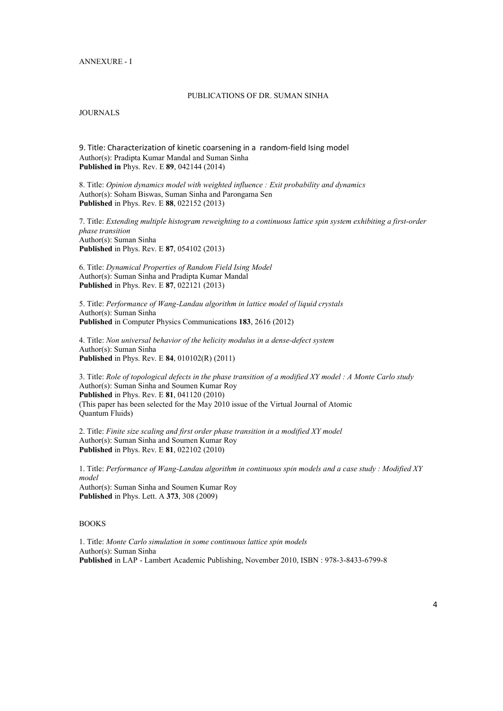#### ANNEXURE - I

#### PUBLICATIONS OF DR. SUMAN SINHA

**JOURNALS** 

9. Title: Characterization of kinetic coarsening in a random-field Ising model Author(s): Pradipta Kumar Mandal and Suman Sinha Published in Phys. Rev. E 89, 042144 (2014)

8. Title: *Opinion dynamics model with weighted influence : Exit probability and dynamics* Author(s): Soham Biswas, Suman Sinha and Parongama Sen Published in Phys. Rev. E 88, 022152 (2013)

7. Title: *Extending multiple histogram reweighting to a continuous lattice spin system exhibiting a first-order phase transition* Author(s): Suman Sinha Published in Phys. Rev. E 87, 054102 (2013)

6. Title: *Dynamical Properties of Random Field Ising Model* Author(s): Suman Sinha and Pradipta Kumar Mandal Published in Phys. Rev. E 87, 022121 (2013)

5. Title: *Performance of Wang-Landau algorithm in lattice model of liquid crystals* Author(s): Suman Sinha Published in Computer Physics Communications 183, 2616 (2012)

4. Title: *Non universal behavior of the helicity modulus in a dense-defect system* Author(s): Suman Sinha Published in Phys. Rev. E 84, 010102(R) (2011)

3. Title: *Role of topological defects in the phase transition of a modified XY model : A Monte Carlo study* Author(s): Suman Sinha and Soumen Kumar Roy Published in Phys. Rev. E 81, 041120 (2010) (This paper has been selected for the May 2010 issue of the Virtual Journal of Atomic Quantum Fluids)

2. Title: *Finite size scaling and first order phase transition in a modified XY model* Author(s): Suman Sinha and Soumen Kumar Roy Published in Phys. Rev. E 81, 022102 (2010)

1. Title: *Performance of Wang-Landau algorithm in continuous spin models and a case study : Modified XY model* Author(s): Suman Sinha and Soumen Kumar Roy Published in Phys. Lett. A 373, 308 (2009)

### BOOKS

1. Title: *Monte Carlo simulation in some continuous lattice spin models* Author(s): Suman Sinha Published in LAP - Lambert Academic Publishing, November 2010, ISBN : 978-3-8433-6799-8